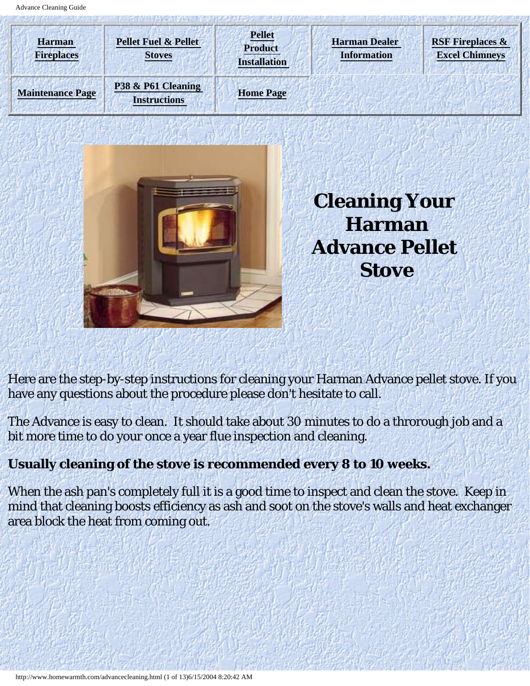<span id="page-0-0"></span>



**Cleaning Your Harman Advance Pellet Stove**

Here are the step-by-step instructions for cleaning your Harman Advance pellet stove. If you have any questions about the procedure please don't hesitate to call.

The Advance is easy to clean. It should take about 30 minutes to do a throrough job and a bit more time to do your once a year flue inspection and cleaning.

# **Usually cleaning of the stove is recommended every 8 to 10 weeks.**

When the ash pan's completely full it is a good time to inspect and clean the stove. Keep in mind that cleaning boosts efficiency as ash and soot on the stove's walls and heat exchanger area block the heat from coming out.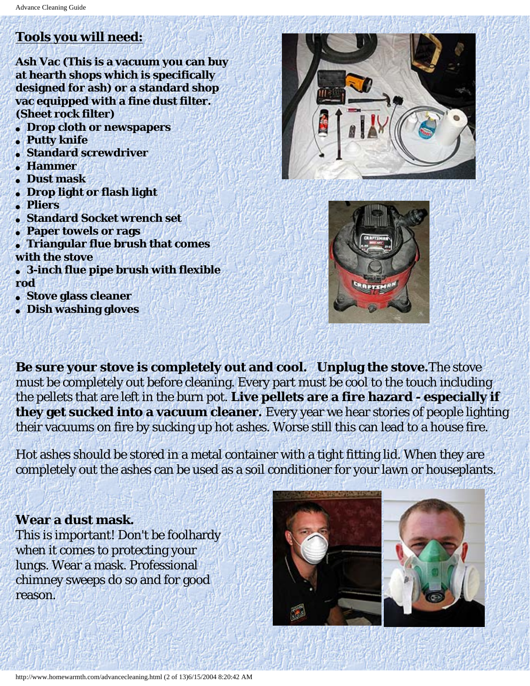# **Tools you will need:**

**Ash Vac (This is a vacuum you can buy at hearth shops which is specifically designed for ash) or a standard shop vac equipped with a fine dust filter. (Sheet rock filter)** 

- **Drop cloth or newspapers**
- **Putty knife**
- **Standard screwdriver**
- **Hammer**
- **Dust mask**
- **Drop light or flash light**
- **Pliers**
- **Standard Socket wrench set**
- **Paper towels or rags**
- **Triangular flue brush that comes with the stove**
- **3-inch flue pipe brush with flexible rod**
- **Stove glass cleaner**
- **Dish washing gloves**





**Be sure your stove is completely out and cool. Unplug the stove.**The stove must be completely out before cleaning. Every part must be cool to the touch including the pellets that are left in the burn pot. **Live pellets are a fire hazard - especially if they get sucked into a vacuum cleaner.** Every year we hear stories of people lighting their vacuums on fire by sucking up hot ashes. Worse still this can lead to a house fire.

Hot ashes should be stored in a metal container with a tight fitting lid. When they are completely out the ashes can be used as a soil conditioner for your lawn or houseplants.

#### **Wear a dust mask.**

This is important! Don't be foolhardy when it comes to protecting your lungs. Wear a mask. Professional chimney sweeps do so and for good reason.



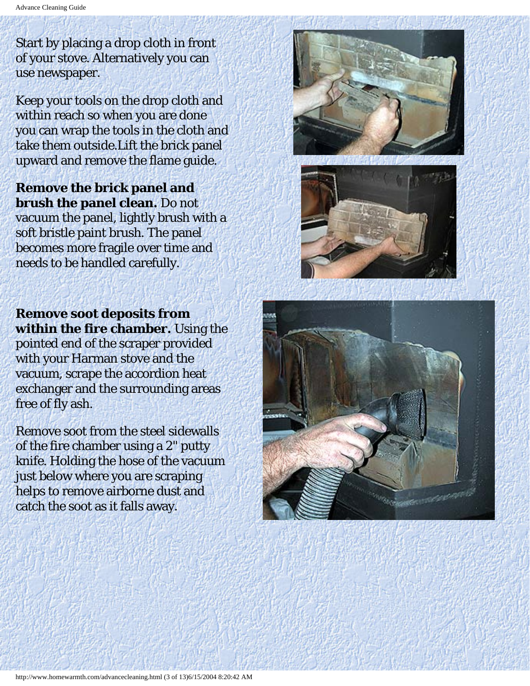Start by placing a drop cloth in front of your stove. Alternatively you can use newspaper.

Keep your tools on the drop cloth and within reach so when you are done you can wrap the tools in the cloth and take them outside.Lift the brick panel upward and remove the flame guide.

**Remove the brick panel and brush the panel clean.** Do not vacuum the panel, lightly brush with a soft bristle paint brush. The panel becomes more fragile over time and needs to be handled carefully.





**Remove soot deposits from within the fire chamber.** Using the pointed end of the scraper provided with your Harman stove and the vacuum, scrape the accordion heat exchanger and the surrounding areas free of fly ash.

Remove soot from the steel sidewalls of the fire chamber using a 2" putty knife. Holding the hose of the vacuum just below where you are scraping helps to remove airborne dust and catch the soot as it falls away.

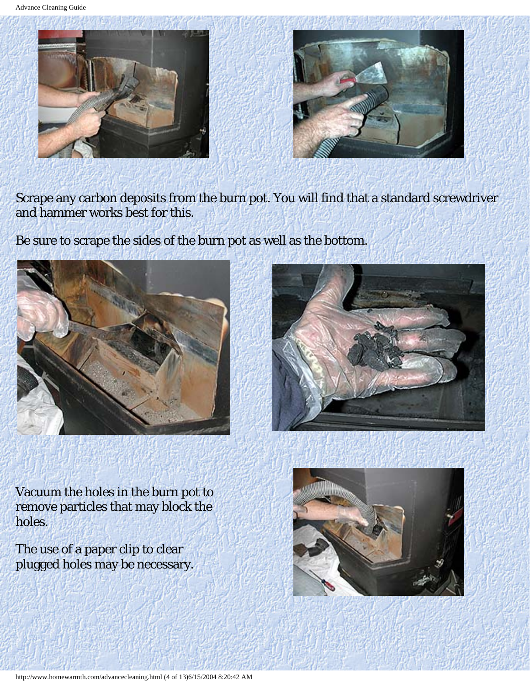Advance Cleaning Guide



Scrape any carbon deposits from the burn pot. You will find that a standard screwdriver and hammer works best for this.

Be sure to scrape the sides of the burn pot as well as the bottom.





Vacuum the holes in the burn pot to remove particles that may block the holes.

The use of a paper clip to clear plugged holes may be necessary.

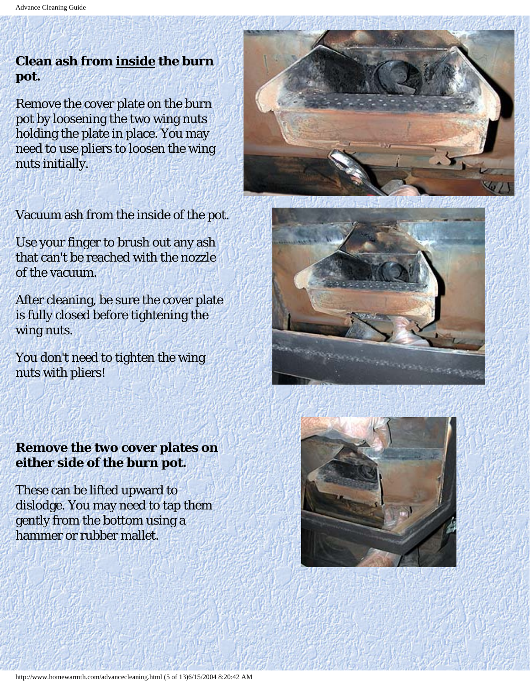# **Clean ash from inside the burn pot.**

Remove the cover plate on the burn pot by loosening the two wing nuts holding the plate in place. You may need to use pliers to loosen the wing nuts initially.

Vacuum ash from the inside of the pot.

Use your finger to brush out any ash that can't be reached with the nozzle of the vacuum.

After cleaning, be sure the cover plate is fully closed before tightening the wing nuts.

You don't need to tighten the wing nuts with pliers!

### **Remove the two cover plates on either side of the burn pot.**

These can be lifted upward to dislodge. You may need to tap them gently from the bottom using a hammer or rubber mallet.





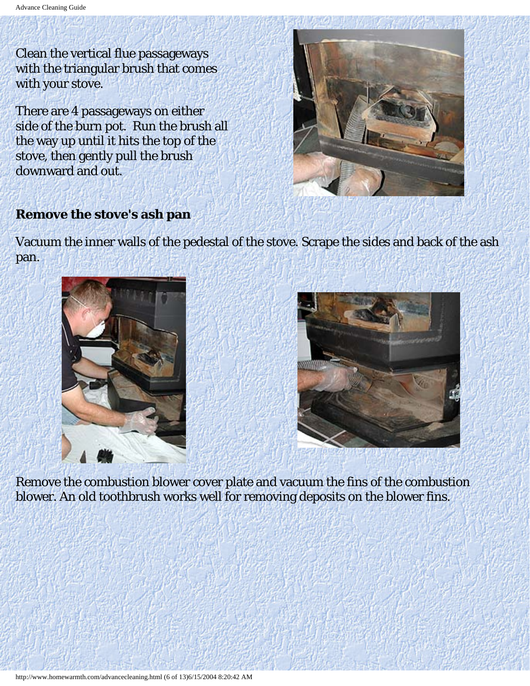Clean the vertical flue passageways with the triangular brush that comes with your stove.

There are 4 passageways on either side of the burn pot. Run the brush all the way up until it hits the top of the stove, then gently pull the brush downward and out.



#### **Remove the stove's ash pan**

Vacuum the inner walls of the pedestal of the stove. Scrape the sides and back of the ash pan.





Remove the combustion blower cover plate and vacuum the fins of the combustion blower. An old toothbrush works well for removing deposits on the blower fins.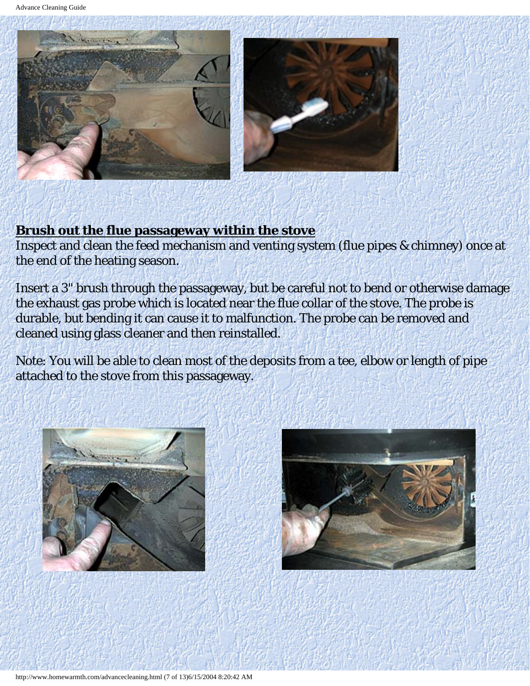

### **Brush out the flue passageway within the stove**

Inspect and clean the feed mechanism and venting system (flue pipes & chimney) once at the end of the heating season.

Insert a 3" brush through the passageway, but be careful not to bend or otherwise damage the exhaust gas probe which is located near the flue collar of the stove. The probe is durable, but bending it can cause it to malfunction. The probe can be removed and cleaned using glass cleaner and then reinstalled.

Note: You will be able to clean most of the deposits from a tee, elbow or length of pipe attached to the stove from this passageway.



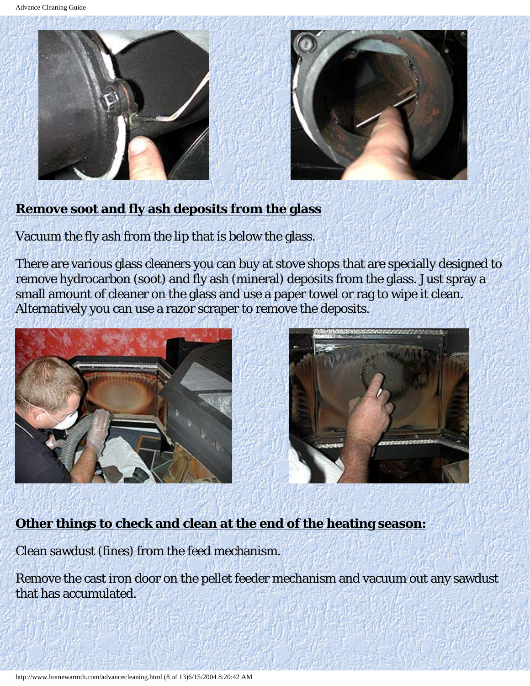



### **Remove soot and fly ash deposits from the glass**

Vacuum the fly ash from the lip that is below the glass.

There are various glass cleaners you can buy at stove shops that are specially designed to remove hydrocarbon (soot) and fly ash (mineral) deposits from the glass. Just spray a small amount of cleaner on the glass and use a paper towel or rag to wipe it clean. Alternatively you can use a razor scraper to remove the deposits.





### **Other things to check and clean at the end of the heating season:**

Clean sawdust (fines) from the feed mechanism.

Remove the cast iron door on the pellet feeder mechanism and vacuum out any sawdust that has accumulated.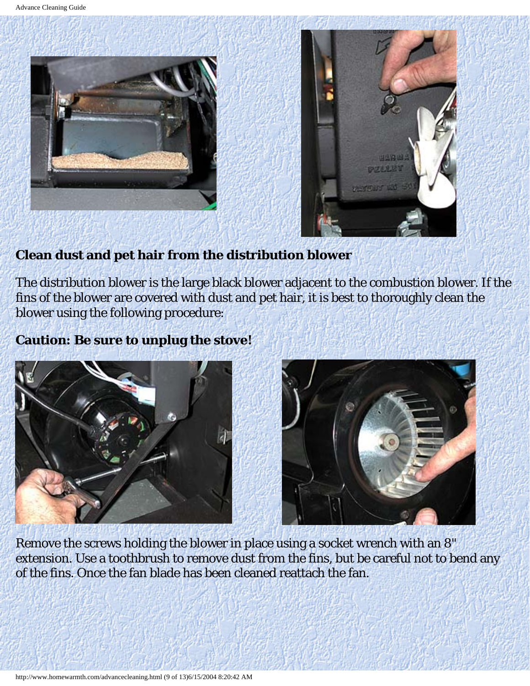



### **Clean dust and pet hair from the distribution blower**

The distribution blower is the large black blower adjacent to the combustion blower. If the fins of the blower are covered with dust and pet hair, it is best to thoroughly clean the blower using the following procedure:

### **Caution: Be sure to unplug the stove!**





Remove the screws holding the blower in place using a socket wrench with an 8" extension. Use a toothbrush to remove dust from the fins, but be careful not to bend any of the fins. Once the fan blade has been cleaned reattach the fan.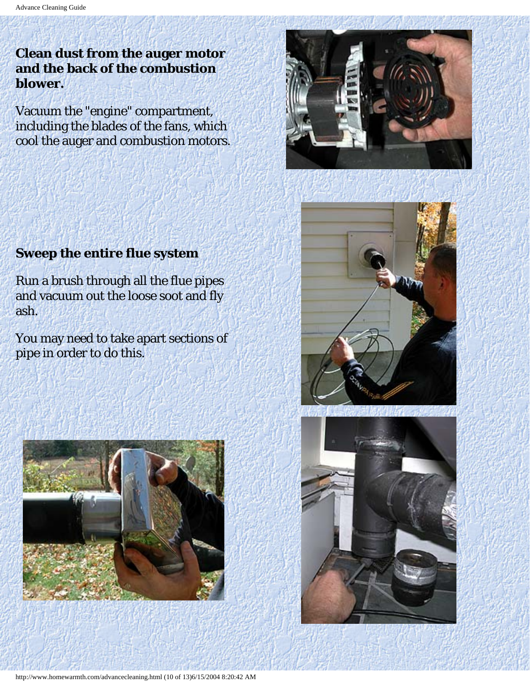# **Clean dust from the auger motor and the back of the combustion blower.**

Vacuum the "engine" compartment, including the blades of the fans, which cool the auger and combustion motors.





Run a brush through all the flue pipes and vacuum out the loose soot and fly ash.

You may need to take apart sections of pipe in order to do this.





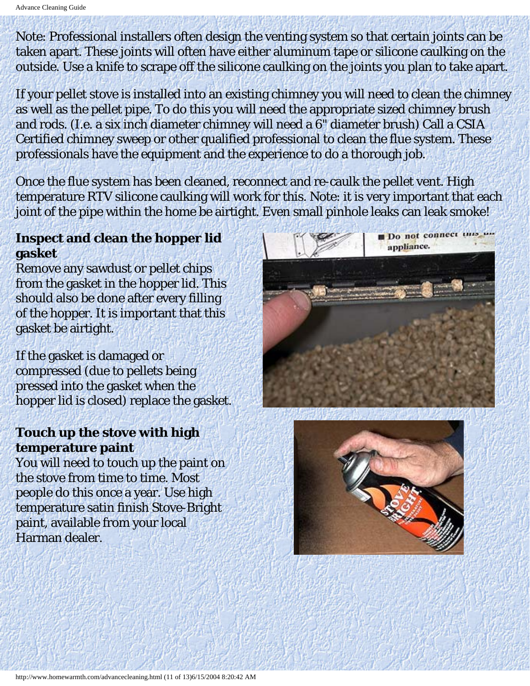Note: Professional installers often design the venting system so that certain joints can be taken apart. These joints will often have either aluminum tape or silicone caulking on the outside. Use a knife to scrape off the silicone caulking on the joints you plan to take apart.

If your pellet stove is installed into an existing chimney you will need to clean the chimney as well as the pellet pipe. To do this you will need the appropriate sized chimney brush and rods. (I.e. a six inch diameter chimney will need a 6" diameter brush) Call a CSIA Certified chimney sweep or other qualified professional to clean the flue system. These professionals have the equipment and the experience to do a thorough job.

Once the flue system has been cleaned, reconnect and re-caulk the pellet vent. High temperature RTV silicone caulking will work for this. Note: it is very important that each joint of the pipe within the home be airtight. Even small pinhole leaks can leak smoke!

### **Inspect and clean the hopper lid gasket**

Remove any sawdust or pellet chips from the gasket in the hopper lid. This should also be done after every filling of the hopper. It is important that this gasket be airtight.

If the gasket is damaged or compressed (due to pellets being pressed into the gasket when the hopper lid is closed) replace the gasket.

# **Touch up the stove with high temperature paint**

You will need to touch up the paint on the stove from time to time. Most people do this once a year. Use high temperature satin finish Stove-Bright paint, available from your local Harman dealer.



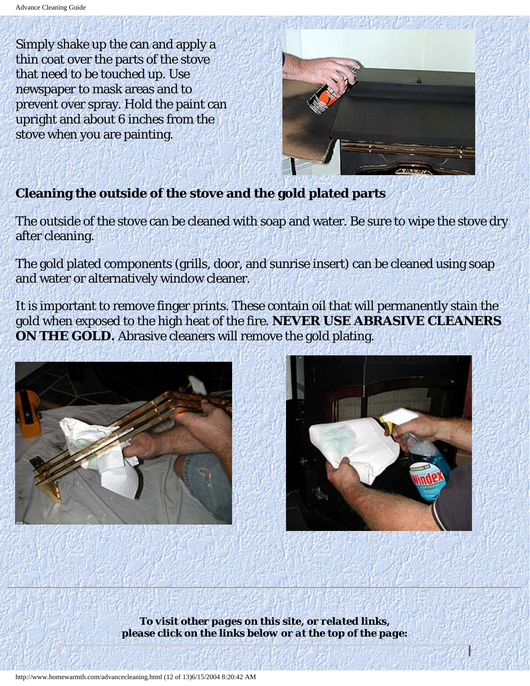Simply shake up the can and apply a thin coat over the parts of the stove that need to be touched up. Use newspaper to mask areas and to prevent over spray. Hold the paint can upright and about 6 inches from the stove when you are painting.



# **Cleaning the outside of the stove and the gold plated parts**

The outside of the stove can be cleaned with soap and water. Be sure to wipe the stove dry after cleaning.

The gold plated components (grills, door, and sunrise insert) can be cleaned using soap and water or alternatively window cleaner.

It is important to remove finger prints. These contain oil that will permanently stain the gold when exposed to the high heat of the fire. **NEVER USE ABRASIVE CLEANERS ON THE GOLD.** Abrasive cleaners will remove the gold plating.





*To visit other pages on this site, or related links, please click on the links below or at the top of the page:*